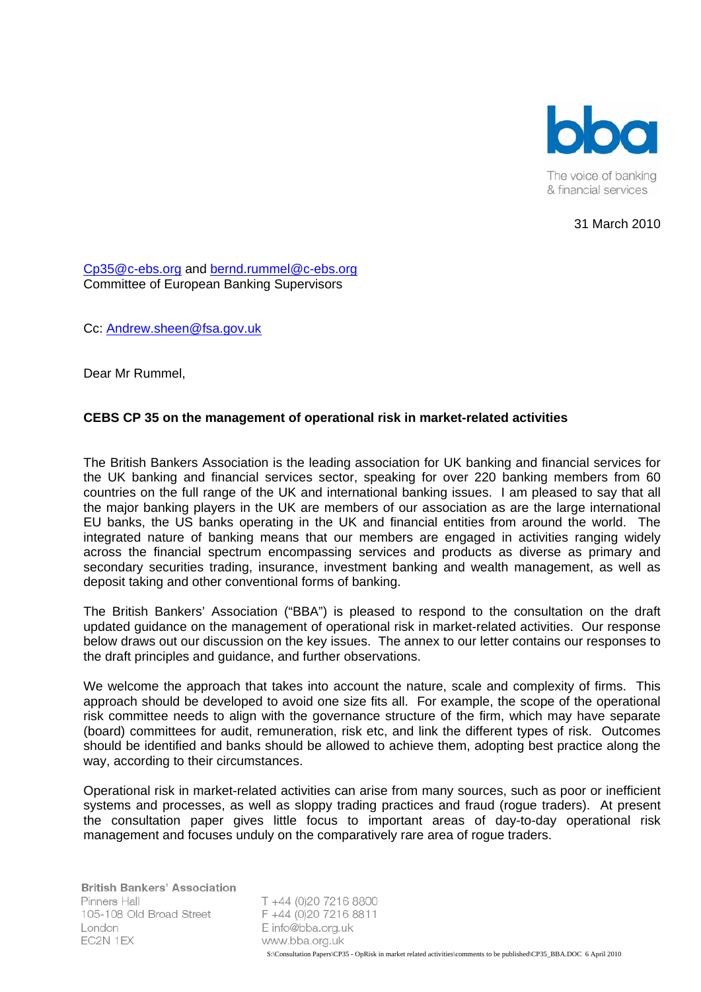

31 March 2010

[Cp35@c-ebs.org and ber](mailto:Andrew.sheen@fsa.gov.uk)nd.rummel@c-ebs.org Committee of European Banking Supervisors

Cc: Andrew.sheen@fsa.gov.uk

Dear Mr Rummel,

# **CEBS CP 35 on the management of operational risk in market-related activities**

The British Bankers Association is the leading association for UK banking and financial services for the UK banking and financial services sector, speaking for over 220 banking members from 60 countries on the full range of the UK and international banking issues. I am pleased to say that all the major banking players in the UK are members of our association as are the large international EU banks, the US banks operating in the UK and financial entities from around the world. The integrated nature of banking means that our members are engaged in activities ranging widely across the financial spectrum encompassing services and products as diverse as primary and secondary securities trading, insurance, investment banking and wealth management, as well as deposit taking and other conventional forms of banking.

The British Bankers' Association ("BBA") is pleased to respond to the consultation on the draft updated guidance on the management of operational risk in market-related activities. Our response below draws out our discussion on the key issues. The annex to our letter contains our responses to the draft principles and guidance, and further observations.

We welcome the approach that takes into account the nature, scale and complexity of firms. This approach should be developed to avoid one size fits all. For example, the scope of the operational risk committee needs to align with the governance structure of the firm, which may have separate (board) committees for audit, remuneration, risk etc, and link the different types of risk. Outcomes should be identified and banks should be allowed to achieve them, adopting best practice along the way, according to their circumstances.

Operational risk in market-related activities can arise from many sources, such as poor or inefficient systems and processes, as well as sloppy trading practices and fraud (rogue traders). At present the consultation paper gives little focus to important areas of day-to-day operational risk management and focuses unduly on the comparatively rare area of rogue traders.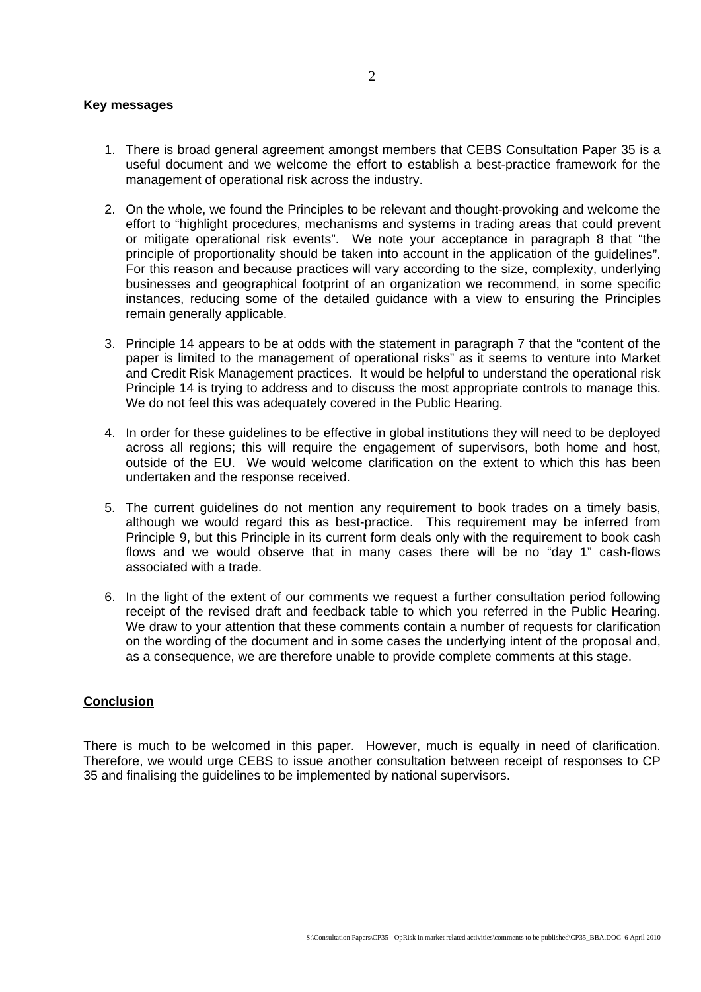## **Key messages**

- 1. There is broad general agreement amongst members that CEBS Consultation Paper 35 is a useful document and we welcome the effort to establish a best-practice framework for the management of operational risk across the industry.
- 2. On the whole, we found the Principles to be relevant and thought-provoking and welcome the effort to "highlight procedures, mechanisms and systems in trading areas that could prevent or mitigate operational risk events". We note your acceptance in paragraph 8 that "the principle of proportionality should be taken into account in the application of the guidelines". For this reason and because practices will vary according to the size, complexity, underlying businesses and geographical footprint of an organization we recommend, in some specific instances, reducing some of the detailed guidance with a view to ensuring the Principles remain generally applicable.
- 3. Principle 14 appears to be at odds with the statement in paragraph 7 that the "content of the paper is limited to the management of operational risks" as it seems to venture into Market and Credit Risk Management practices. It would be helpful to understand the operational risk Principle 14 is trying to address and to discuss the most appropriate controls to manage this. We do not feel this was adequately covered in the Public Hearing.
- 4. In order for these guidelines to be effective in global institutions they will need to be deployed across all regions; this will require the engagement of supervisors, both home and host, outside of the EU. We would welcome clarification on the extent to which this has been undertaken and the response received.
- 5. The current guidelines do not mention any requirement to book trades on a timely basis, although we would regard this as best-practice. This requirement may be inferred from Principle 9, but this Principle in its current form deals only with the requirement to book cash flows and we would observe that in many cases there will be no "day 1" cash-flows associated with a trade.
- 6. In the light of the extent of our comments we request a further consultation period following receipt of the revised draft and feedback table to which you referred in the Public Hearing. We draw to your attention that these comments contain a number of requests for clarification as a consequence, we are therefore unable to provide complete comments at this stage. on the wording of the document and in some cases the underlying intent of the proposal and,

# **Conclusion**

There is much to be welcomed in this paper. However, much is equally in need of clarification. Therefore, we would urge CEBS to issue another consultation between receipt of responses to CP 35 and finalising the guidelines to be implemented by national supervisors.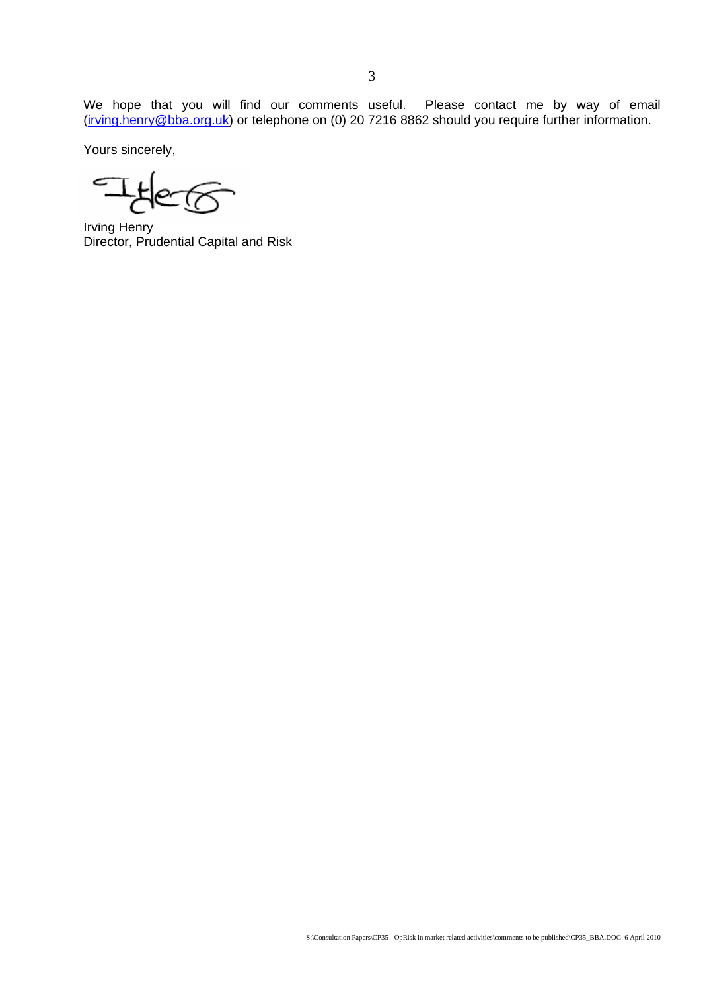by way of email @bba.org.uk We hope that you will find our comments useful. Please contact me  $(i$ rving.henry @bba.org.uk) or telephone on (0) 20 7216 8862 should you require further information.

Yours sincerely,

 $\mathbb{Z}$ 

Director, Prudential Capital and Risk Irving Henry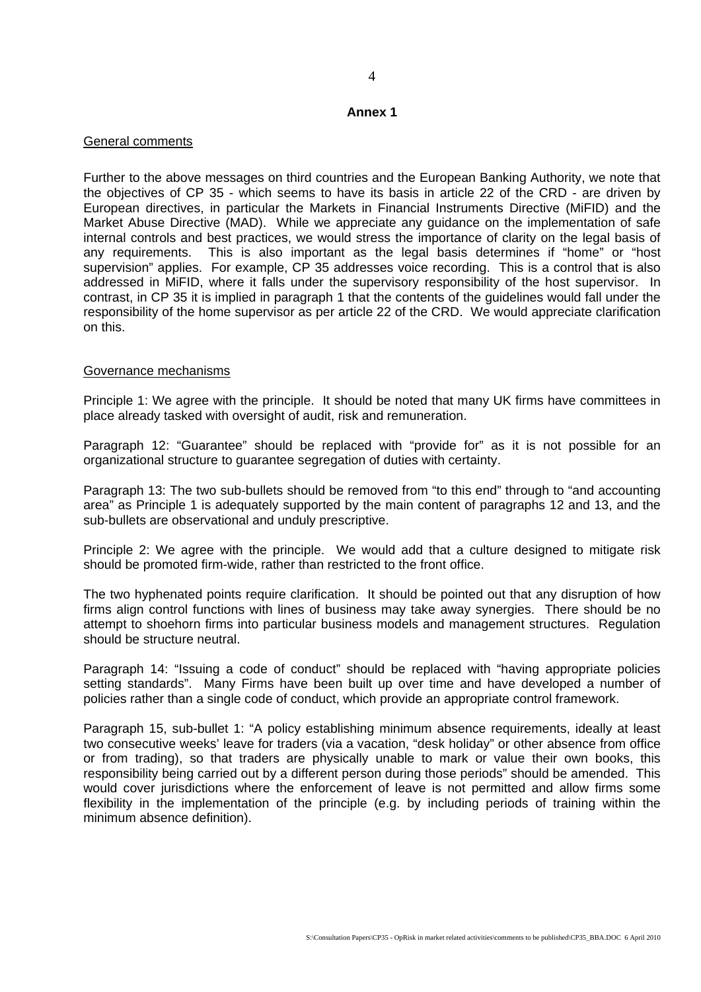### **Annex 1**

## General comments

Further to the above messages on third countries and the European Banking Au thority, we note that the objectives of CP 35 - which seems to have its basis in article 22 of the C RD - are driven by European directives, in particular the Markets in Financial Instruments Directiv e (MiFID) and the Market Abuse Directive (MAD). While we appreciate any guidance on the imp lementation of safe internal controls and best practices, we would stress the importance of clarity o n the legal basis of any requirements. This is also important as the legal basis determines if "home" or "host supe rvision" applies. For example, CP 35 addresses voice recording. This is a control that is also addressed in MiFID, where it falls under the supervisory responsibility of the host supervisor. In contrast, in CP 35 it is implied in paragraph 1 that the contents of the guidelines would fall under the responsibility of the home supervisor as per article 22 of the CRD. We would appreciate clarification on this.

### Governance mechanisms

Principle 1: We agree with the principle. It should be noted that many UK firms have committees in place already tasked with oversight of audit, risk and remuneration.

Paragraph 12: "Guarantee" should be replaced with "provide for" as it is not possible for an organizational structure to guarantee segregation of duties with certainty.

Paragraph 13: The two sub-bullets should be removed from "to this end" through to "and accounting area" as Principle 1 is adequately supported by the main content of paragraphs 12 and 13, and the sub-bullets are observational and unduly prescriptive.

Principle 2: We agree with the principle. We would add that a culture designed to mitigate risk should be promoted firm-wide, rather than restricted to the front office.

The two hyphenated points require clarification. It should be pointed out that any disruption of how firms align control functions with lines of business may take away synergies. There should be no attempt to shoehorn firms into particular business models and management structures. Regulation should be structure neutral.

Paragraph 14: "Issuing a code of conduct" should be replaced with "having appropriate policies setting standards". Many Firms have been built up over time and have developed a number of policies rather than a single code of conduct, which provide an appropriate control framework.

Paragraph 15, sub-bullet 1: "A policy establishing minimum absence requirements, ideally at least two consecutive weeks' leave for traders (via a vacation, "desk holiday" or other absence from office or from trading), so that traders are physically unable to mark or value their own books, this responsibility being carried out by a different person during those periods" should be amended. This would cover jurisdictions where the enforcement of leave is not permitted and allow firms some flexibility in the implementation of the principle (e.g. by including periods of training within the minimum absence definition).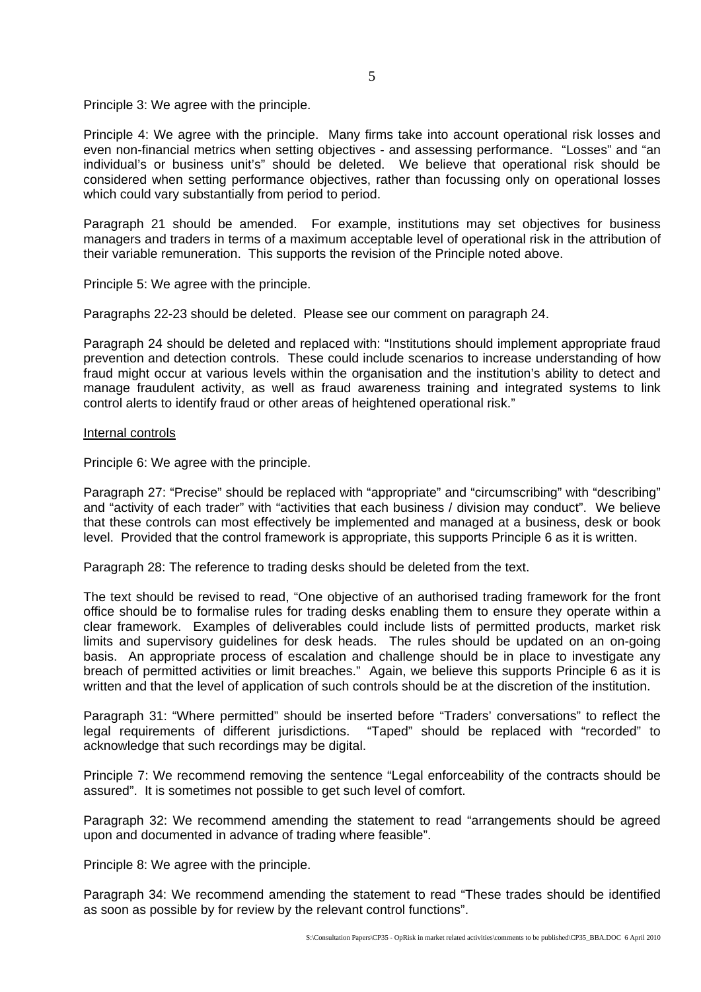Principle 3: We agree with the principle.

Principle 4: We agree with the principle. Many firms take into account operational risk losses and even non-financial metrics when setting objectives - and assessing performance. "Losses" and "an individual's or business unit's" should be deleted. We believe that operational risk should be considered when setting performance objectives, rather than focussing only on operational losses which could vary substantially from period to period.

Paragraph 21 should be amended. For example, institutions may set objectives for business managers and traders in terms of a maximum acceptable level of operational risk in the attribution of their variable remuneration. This supports the revision of the Principle noted above.

Principle 5: We agree with the principle.

Paragraphs 22-23 should be deleted. Please see our comment on paragraph 24.

Paragraph 24 should be deleted and replaced with: "Institutions should implement appropriate fraud prevention and detection controls. These could include scenarios to increase understanding of how fraud might occur at various levels within the organisation and the institution's ability to detect and manage fraudulent activity, as well as fraud awareness training and integrated systems to link control alerts to identify fraud or other areas of heightened operational risk."

#### Internal controls

Principle 6: We agree with the principle.

Paragraph 27: "Precise" should be replaced with "appropriate" and "circumscribin g" with "describing" and "activity of each trader" with "activities that each business / division may co nduct". We believe that these controls can most effectively be implemented and managed at a bus iness, desk or book level. Provided that the control framework is appropriate, this supports Principle 6 as it is written.

Paragraph 28: The reference to trading desks should be deleted from the text.

The text should be revised to read, "One objective of an authorised trading framework for the front office should be to formalise rules for trading desks enabling them to ensure they operate within a clear framework. Examples of deliverables could include lists of permitted products, market risk basis. An appropriate process of escalation and challenge should be in place to investigate any breach of permitted activities or limit breaches." Again, we believe this supports Principle 6 as it is written and that the level of application of such controls should be at the discretion of the institution. limits and supervisory guidelines for desk heads. The rules should be updated on an on-going

Paragraph 31: "Where permitted" should be inserted before "Traders' conversations" to reflect the legal requirements of different jurisdictions. "Taped" should be replaced with "recorded" to acknowledge that such recordings may be digital.

Principle 7: We recommend removing the sentence "Legal enforceability of the contracts should be assured". It is sometimes not possible to get such level of comfort.

Paragraph 32: We recommend amending the statement to read "arrangements should be agreed upon and documented in advance of trading where feasible".

Principle 8: We agree with the principle.

Paragraph 34: We recommend amending the statement to read "These trades should be identified as soon as possible by for review by the relevant control functions".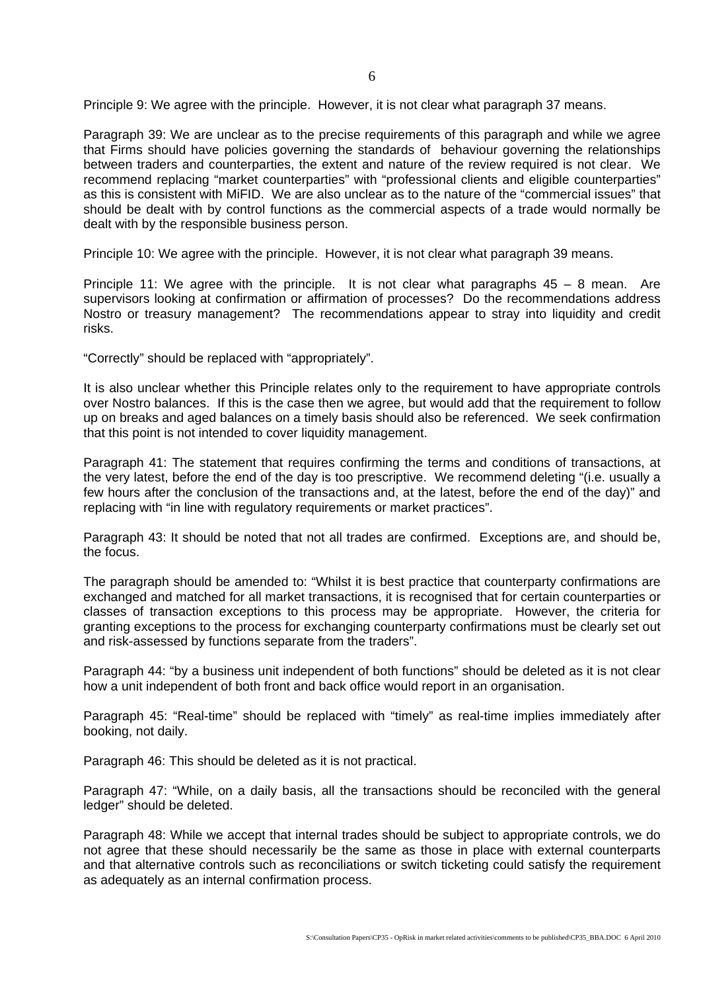Principle 9: We agree with the principle. However, it is not clear what paragraph 37 means.

Paragraph 39: We are unclear as to the precise requirements of this paragraph and while we agree that Firms should have policies governing the standards of behaviour governing the relationships between traders and counterparties, the extent and nature of the review required is not clear. We as this is consistent with MiFID. We are also unclear as to the nature of the "commercial issues" that should be dealt with by control functions as the commercial aspects of a trade would normally be recommend replacing "market counterparties" with "professional clients and eligible counterparties" dealt with by the responsible business person.

Principle 10: We agree with the principle. However, it is not clear what paragraph 39 means.

Principle 11: We agree with the principle. It is not clear what paragraphs  $45 - 8$  mean. Are supervisors looking at confirmation or affirmation of processes? Do the recommendations address Nostro or treasury management? The recommendations appear to stray into liquidity and credit risks.

"Correctly" should be replaced with "appropriately".

It is also unclear whether this Principle relates only to the requirement to have appropriate controls over Nostro balances. If this is the case then we agree, but would add that the requirement to follow up on breaks and aged balances on a timely basis should also be referenced. We seek confirmation that this point is not intended to cover liquidity management.

Paragraph 41: The statement that requires confirming the terms and conditions of transactions, at the very latest, before the end of the day is too prescriptive. We recommend deleting "(i.e. usually a few hours after the conclusion of the transactions and, at the latest, before the end of the day)" and replacing with "in line with regulatory requirements or market practices".

Paragraph 43: It should be noted that not all trades are confirmed. Exceptions are, and should be, the focus.

The paragraph should be amended to: "Whilst it is best practice that counterparty confirmations are exchanged and matched for all market transactions, it is recognised that for certain counterparties or classes of transaction exceptions to this process may be appropriate. However, the criteria for granting exceptions to the process for exchanging counterparty confirmations must be clearly set out and risk-assessed by functions separate from the traders".

Paragraph 44: "by a business unit independent of both functions" should be deleted as it is not clear how a unit independent of both front and back office would report in an organisation.

booking, not daily. Paragraph 45: "Real-time" should be replaced with "timely" as real-time implies immediately after

Paragraph 46: This should be deleted as it is not practical.

Paragraph 47: "While, on a daily basis, all the transactions should be reconciled with the general ledger" should be deleted.

Paragraph 48: While we accept that internal trades should be subject to appropriate controls, we do not agree that these should necessarily be the same as those in place with external counterparts and that alternative controls such as reconciliations or switch ticketing could satisfy the requirement as adequately as an internal confirmation process.